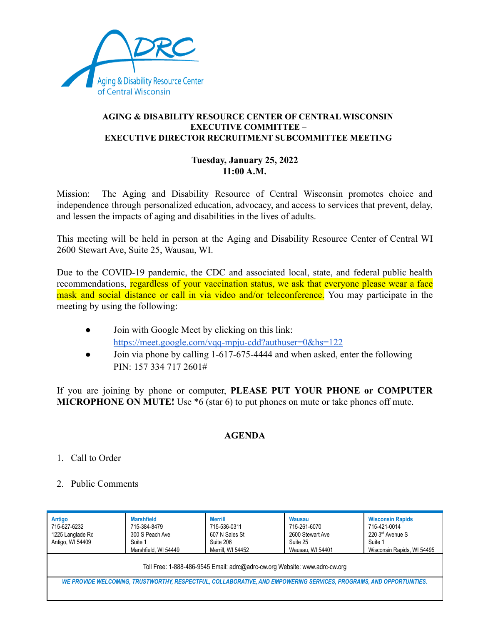

## **AGING & DISABILITY RESOURCE CENTER OF CENTRAL WISCONSIN EXECUTIVE COMMITTEE – EXECUTIVE DIRECTOR RECRUITMENT SUBCOMMITTEE MEETING**

## **Tuesday, January 25, 2022 11:00 A.M.**

Mission: The Aging and Disability Resource of Central Wisconsin promotes choice and independence through personalized education, advocacy, and access to services that prevent, delay, and lessen the impacts of aging and disabilities in the lives of adults.

This meeting will be held in person at the Aging and Disability Resource Center of Central WI 2600 Stewart Ave, Suite 25, Wausau, WI.

Due to the COVID-19 pandemic, the CDC and associated local, state, and federal public health recommendations, regardless of your vaccination status, we ask that everyone please wear a face mask and social distance or call in via video and/or teleconference. You may participate in the meeting by using the following:

- Join with Google Meet by clicking on this link: <https://meet.google.com/vqq-mpju-cdd?authuser=0&hs=122>
- Join via phone by calling 1-617-675-4444 and when asked, enter the following PIN: 157 334 717 2601#

If you are joining by phone or computer, **PLEASE PUT YOUR PHONE or COMPUTER MICROPHONE ON MUTE!** Use \*6 (star 6) to put phones on mute or take phones off mute.

## **AGENDA**

- 1. Call to Order
- 2. Public Comments

| Antigo<br>715-627-6232<br>1225 Langlade Rd<br>Antigo, WI 54409                                                      | <b>Marshfield</b><br>715-384-8479<br>300 S Peach Ave<br>Suite 1<br>Marshfield, WI 54449 | <b>Merrill</b><br>715-536-0311<br>607 N Sales St<br>Suite 206<br>Merrill, WI 54452 | Wausau<br>715-261-6070<br>2600 Stewart Ave<br>Suite 25<br>Wausau, WI 54401 | <b>Wisconsin Rapids</b><br>715-421-0014<br>220 3rd Avenue S<br>Suite 1<br>Wisconsin Rapids, WI 54495 |  |  |
|---------------------------------------------------------------------------------------------------------------------|-----------------------------------------------------------------------------------------|------------------------------------------------------------------------------------|----------------------------------------------------------------------------|------------------------------------------------------------------------------------------------------|--|--|
| Toll Free: 1-888-486-9545 Email: adrc@adrc-cw.org Website: www.adrc-cw.org                                          |                                                                                         |                                                                                    |                                                                            |                                                                                                      |  |  |
| WE PROVIDE WELCOMING, TRUSTWORTHY, RESPECTFUL, COLLABORATIVE, AND EMPOWERING SERVICES, PROGRAMS, AND OPPORTUNITIES. |                                                                                         |                                                                                    |                                                                            |                                                                                                      |  |  |